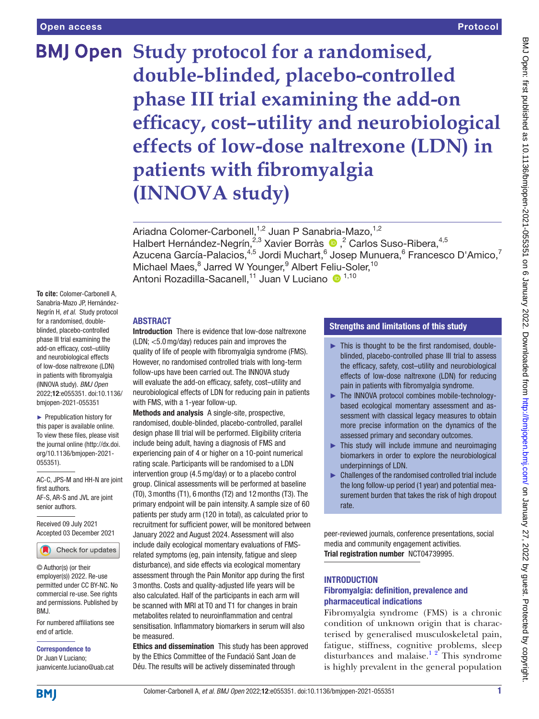# **BMJ Open Study protocol for a randomised, double-blinded, placebo-controlled phase III trial examining the add-on efficacy, cost–utility and neurobiological effects of low-dose naltrexone (LDN) in patients with fibromyalgia (INNOVA study)**

Ariadna Colomer-Carbonell,<sup>1,2</sup> Juan P Sanabria-Mazo,<sup>1,2</sup> HalbertHernández-Negrín,<sup>2,3</sup> Xavier Borràs (D,<sup>2</sup> Carlos Suso-Ribera,<sup>4,5</sup> Azucena García-Palacios, $^{4,5}$  Jordi Muchart, $^6$  Josep Munuera, $^6$  Francesco D'Amico, $^7$ Michael Maes,<sup>8</sup> Jarred W Younger,<sup>9</sup> Albert Feliu-Soler,<sup>10</sup> Antoni Rozadilla-Sacanell,<sup>11</sup> Juan V Luciano <sup>1,10</sup>

**To cite:** Colomer-Carbonell A, Sanabria-Mazo JP, Hernández-Negrín H, *et al*. Study protocol for a randomised, doubleblinded, placebo-controlled phase III trial examining the add-on efficacy, cost–utility and neurobiological effects of low-dose naltrexone (LDN) in patients with fibromyalgia (INNOVA study). *BMJ Open* 2022;12:e055351. doi:10.1136/ bmjopen-2021-055351

► Prepublication history for this paper is available online. To view these files, please visit the journal online [\(http://dx.doi.](http://dx.doi.org/10.1136/bmjopen-2021-055351) [org/10.1136/bmjopen-2021-](http://dx.doi.org/10.1136/bmjopen-2021-055351) [055351\)](http://dx.doi.org/10.1136/bmjopen-2021-055351).

AC-C, JPS-M and HH-N are joint first authors. AF-S, AR-S and JVL are joint senior authors.

Received 09 July 2021 Accepted 03 December 2021



© Author(s) (or their employer(s)) 2022. Re-use permitted under CC BY-NC. No commercial re-use. See rights and permissions. Published by BMJ.

For numbered affiliations see end of article.

Correspondence to

Dr Juan V Luciano; juanvicente.luciano@uab.cat

# ABSTRACT

Introduction There is evidence that low-dose naltrexone (LDN; <5.0mg/day) reduces pain and improves the quality of life of people with fibromyalgia syndrome (FMS). However, no randomised controlled trials with long-term follow-ups have been carried out. The INNOVA study will evaluate the add-on efficacy, safety, cost–utility and neurobiological effects of LDN for reducing pain in patients with FMS, with a 1-year follow-up.

Methods and analysis A single-site, prospective, randomised, double-blinded, placebo-controlled, parallel design phase III trial will be performed. Eligibility criteria include being adult, having a diagnosis of FMS and experiencing pain of 4 or higher on a 10-point numerical rating scale. Participants will be randomised to a LDN intervention group (4.5mg/day) or to a placebo control group. Clinical assessments will be performed at baseline (T0), 3months (T1), 6months (T2) and 12months (T3). The primary endpoint will be pain intensity. A sample size of 60 patients per study arm (120 in total), as calculated prior to recruitment for sufficient power, will be monitored between January 2022 and August 2024. Assessment will also include daily ecological momentary evaluations of FMSrelated symptoms (eg, pain intensity, fatigue and sleep disturbance), and side effects via ecological momentary assessment through the Pain Monitor app during the first 3months. Costs and quality-adjusted life years will be also calculated. Half of the participants in each arm will be scanned with MRI at T0 and T1 for changes in brain metabolites related to neuroinflammation and central sensitisation. Inflammatory biomarkers in serum will also be measured.

Ethics and dissemination This study has been approved by the Ethics Committee of the Fundació Sant Joan de Déu. The results will be actively disseminated through

# Strengths and limitations of this study

- ► This is thought to be the first randomised, doubleblinded, placebo-controlled phase III trial to assess the efficacy, safety, cost–utility and neurobiological effects of low-dose naltrexone (LDN) for reducing pain in patients with fibromyalgia syndrome.
- ► The INNOVA protocol combines mobile-technologybased ecological momentary assessment and assessment with classical legacy measures to obtain more precise information on the dynamics of the assessed primary and secondary outcomes.
- $\blacktriangleright$  This study will include immune and neuroimaging biomarkers in order to explore the neurobiological underpinnings of LDN.
- ► Challenges of the randomised controlled trial include the long follow-up period (1 year) and potential measurement burden that takes the risk of high dropout rate.

peer-reviewed journals, conference presentations, social media and community engagement activities. Trial registration number [NCT04739995.](NCT04739995)

# **INTRODUCTION**

# Fibromyalgia: definition, prevalence and pharmaceutical indications

Fibromyalgia syndrome (FMS) is a chronic condition of unknown origin that is characterised by generalised musculoskeletal pain, fatigue, stiffness, cognitive problems, sleep disturbances and malaise.<sup>12</sup> This syndrome is highly prevalent in the general population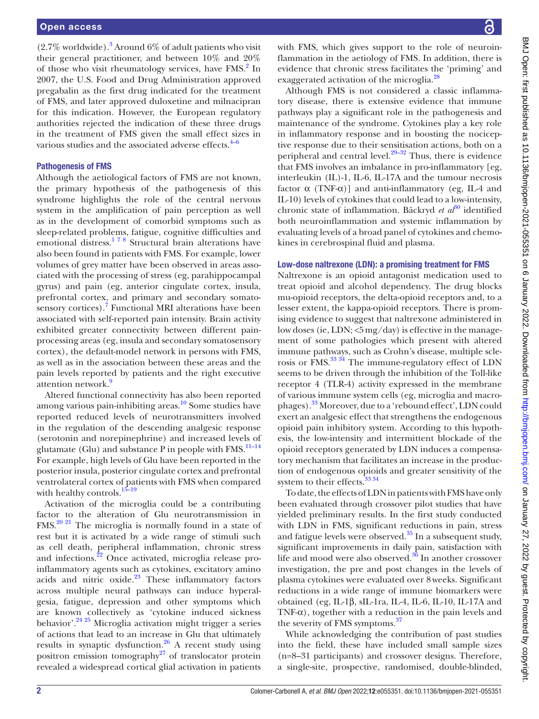$(2.7\%$  worldwide).<sup>[3](#page-8-1)</sup> Around 6% of adult patients who visit their general practitioner, and between 10% and 20% of those who visit rheumatology services, have FMS.<sup>[2](#page-8-2)</sup> In 2007, the U.S. Food and Drug Administration approved pregabalin as the first drug indicated for the treatment of FMS, and later approved duloxetine and milnacipran for this indication. However, the European regulatory authorities rejected the indication of these three drugs in the treatment of FMS given the small effect sizes in various studies and the associated adverse effects. $4-6$ 

#### Pathogenesis of FMS

Although the aetiological factors of FMS are not known, the primary hypothesis of the pathogenesis of this syndrome highlights the role of the central nervous system in the amplification of pain perception as well as in the development of comorbid symptoms such as sleep-related problems, fatigue, cognitive difficulties and emotional distress.<sup>178</sup> Structural brain alterations have also been found in patients with FMS. For example, lower volumes of grey matter have been observed in areas associated with the processing of stress (eg, parahippocampal gyrus) and pain (eg, anterior cingulate cortex, insula, prefrontal cortex, and primary and secondary somato-sensory cortices).<sup>[7](#page-8-4)</sup> Functional MRI alterations have been associated with self-reported pain intensity. Brain activity exhibited greater connectivity between different painprocessing areas (eg, insula and secondary somatosensory cortex), the default-model network in persons with FMS, as well as in the association between these areas and the pain levels reported by patients and the right executive attention network.<sup>[9](#page-8-5)</sup>

Altered functional connectivity has also been reported among various pain-inhibiting areas. $10$  Some studies have reported reduced levels of neurotransmitters involved in the regulation of the descending analgesic response (serotonin and norepinephrine) and increased levels of glutamate (Glu) and substance P in people with  $FMS$ .<sup>11-14</sup> For example, high levels of Glu have been reported in the posterior insula, posterior cingulate cortex and prefrontal ventrolateral cortex of patients with FMS when compared with healthy controls.<sup>15-19</sup>

Activation of the microglia could be a contributing factor to the alteration of Glu neurotransmission in FMS[.20 21](#page-8-9) The microglia is normally found in a state of rest but it is activated by a wide range of stimuli such as cell death, peripheral inflammation, chronic stress and infections.<sup>22</sup> Once activated, microglia release proinflammatory agents such as cytokines, excitatory amino acids and nitric oxide.<sup>23</sup> These inflammatory factors across multiple neural pathways can induce hyperalgesia, fatigue, depression and other symptoms which are known collectively as 'cytokine induced sickness behavior'[.24 25](#page-9-2) Microglia activation might trigger a series of actions that lead to an increase in Glu that ultimately results in synaptic dysfunction.[26](#page-9-3) A recent study using positron emission tomography<sup>27</sup> of translocator protein revealed a widespread cortical glial activation in patients

with FMS, which gives support to the role of neuroinflammation in the aetiology of FMS. In addition, there is evidence that chronic stress facilitates the 'priming' and exaggerated activation of the microglia.<sup>28</sup>

Although FMS is not considered a classic inflammatory disease, there is extensive evidence that immune pathways play a significant role in the pathogenesis and maintenance of the syndrome. Cytokines play a key role in inflammatory response and in boosting the nociceptive response due to their sensitisation actions, both on a peripheral and central level. $29-32$  Thus, there is evidence that FMS involves an imbalance in pro-inflammatory [eg, interleukin (IL)-1, IL-6, IL-17A and the tumour necrosis factor  $\alpha$  (TNF- $\alpha$ )] and anti-inflammatory (eg, IL-4 and IL-10) levels of cytokines that could lead to a low-intensity, chronic state of inflammation. Bäckryd *et al*<sup>30</sup> identified both neuroinflammation and systemic inflammation by evaluating levels of a broad panel of cytokines and chemokines in cerebrospinal fluid and plasma.

#### Low-dose naltrexone (LDN): a promising treatment for FMS

Naltrexone is an opioid antagonist medication used to treat opioid and alcohol dependency. The drug blocks mu-opioid receptors, the delta-opioid receptors and, to a lesser extent, the kappa-opioid receptors. There is promising evidence to suggest that naltrexone administered in low doses (ie, LDN;  $\langle 5mg/day \rangle$  is effective in the management of some pathologies which present with altered immune pathways, such as Crohn's disease, multiple sclerosis or FMS.<sup>33 34</sup> The immune-regulatory effect of LDN seems to be driven through the inhibition of the Toll-like receptor 4 (TLR-4) activity expressed in the membrane of various immune system cells (eg, microglia and macrophages).[33](#page-9-8) Moreover, due to a 'rebound effect', LDN could exert an analgesic effect that strengthens the endogenous opioid pain inhibitory system. According to this hypothesis, the low-intensity and intermittent blockade of the opioid receptors generated by LDN induces a compensatory mechanism that facilitates an increase in the production of endogenous opioids and greater sensitivity of the system to their effects.<sup>33 34</sup>

To date, the effects of LDN in patients with FMS have only been evaluated through crossover pilot studies that have yielded preliminary results. In the first study conducted with LDN in FMS, significant reductions in pain, stress and fatigue levels were observed.<sup>[35](#page-9-9)</sup> In a subsequent study, significant improvements in daily pain, satisfaction with life and mood were also observed. $36$  In another crossover investigation, the pre and post changes in the levels of plasma cytokines were evaluated over 8weeks. Significant reductions in a wide range of immune biomarkers were obtained (eg, IL-1β, sIL-1ra, IL-4, IL-6, IL-10, IL-17A and TNF- $\alpha$ ), together with a reduction in the pain levels and the severity of FMS symptoms.<sup>[37](#page-9-11)</sup>

While acknowledging the contribution of past studies into the field, these have included small sample sizes (n=8–31 participants) and crossover designs. Therefore, a single-site, prospective, randomised, double-blinded,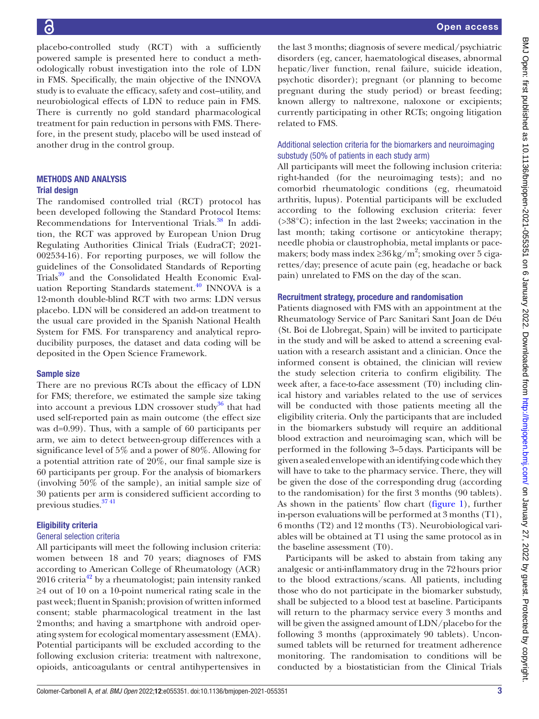BMJ Open: first published as 10.1136/bmjopen-2021-055351 on 6 January 2022. Downloaded from http://bmjopen.bmj.com/ on January 27, 2022 by guest. Protected by copyright BMJ Open: first published as 10.1136/bmjopen-2021-055351 on 6 January 2022. Downloaded from <http://bmjopen.bmj.com/> on January 27, 2022 by guest. Protected by copyright.

placebo-controlled study (RCT) with a sufficiently powered sample is presented here to conduct a methodologically robust investigation into the role of LDN in FMS. Specifically, the main objective of the INNOVA study is to evaluate the efficacy, safety and cost–utility, and neurobiological effects of LDN to reduce pain in FMS. There is currently no gold standard pharmacological treatment for pain reduction in persons with FMS. Therefore, in the present study, placebo will be used instead of another drug in the control group.

#### METHODS AND ANALYSIS Trial design

The randomised controlled trial (RCT) protocol has been developed following the Standard Protocol Items: Recommendations for Interventional Trials.<sup>38</sup> In addition, the RCT was approved by European Union Drug Regulating Authorities Clinical Trials (EudraCT; 2021- 002534-16). For reporting purposes, we will follow the guidelines of the Consolidated Standards of Reporting Trials<sup>39</sup> and the Consolidated Health Economic Evaluation Reporting Standards statement. $40$  INNOVA is a 12-month double-blind RCT with two arms: LDN versus placebo. LDN will be considered an add-on treatment to the usual care provided in the Spanish National Health System for FMS. For transparency and analytical reproducibility purposes, the dataset and data coding will be deposited in the Open Science Framework.

## Sample size

There are no previous RCTs about the efficacy of LDN for FMS; therefore, we estimated the sample size taking into account a previous LDN crossover study $36$  that had used self-reported pain as main outcome (the effect size was d=0.99). Thus, with a sample of 60 participants per arm, we aim to detect between-group differences with a significance level of 5% and a power of 80%. Allowing for a potential attrition rate of 20%, our final sample size is 60 participants per group. For the analysis of biomarkers (involving 50% of the sample), an initial sample size of 30 patients per arm is considered sufficient according to previous studies.<sup>3741</sup>

# Eligibility criteria

#### General selection criteria

All participants will meet the following inclusion criteria: women between 18 and 70 years; diagnoses of FMS according to American College of Rheumatology (ACR)  $2016$  criteria<sup>42</sup> by a rheumatologist; pain intensity ranked ≥4 out of 10 on a 10-point numerical rating scale in the past week; fluent in Spanish; provision of written informed consent; stable pharmacological treatment in the last 2months; and having a smartphone with android operating system for ecological momentary assessment (EMA). Potential participants will be excluded according to the following exclusion criteria: treatment with naltrexone, opioids, anticoagulants or central antihypertensives in

the last 3 months; diagnosis of severe medical/psychiatric disorders (eg, cancer, haematological diseases, abnormal hepatic/liver function, renal failure, suicide ideation, psychotic disorder); pregnant (or planning to become pregnant during the study period) or breast feeding; known allergy to naltrexone, naloxone or excipients; currently participating in other RCTs; ongoing litigation related to FMS.

## Additional selection criteria for the biomarkers and neuroimaging substudy (50% of patients in each study arm)

All participants will meet the following inclusion criteria: right-handed (for the neuroimaging tests); and no comorbid rheumatologic conditions (eg, rheumatoid arthritis, lupus). Potential participants will be excluded according to the following exclusion criteria: fever (>38°C); infection in the last 2weeks; vaccination in the last month; taking cortisone or anticytokine therapy; needle phobia or claustrophobia, metal implants or pacemakers; body mass index  $\geq 36 \text{ kg/m}^2$ ; smoking over 5 cigarettes/day; presence of acute pain (eg, headache or back pain) unrelated to FMS on the day of the scan.

#### Recruitment strategy, procedure and randomisation

Patients diagnosed with FMS with an appointment at the Rheumatology Service of Parc Sanitari Sant Joan de Déu (St. Boi de Llobregat, Spain) will be invited to participate in the study and will be asked to attend a screening evaluation with a research assistant and a clinician. Once the informed consent is obtained, the clinician will review the study selection criteria to confirm eligibility. The week after, a face-to-face assessment (T0) including clinical history and variables related to the use of services will be conducted with those patients meeting all the eligibility criteria. Only the participants that are included in the biomarkers substudy will require an additional blood extraction and neuroimaging scan, which will be performed in the following 3–5days. Participants will be given a sealed envelope with an identifying code which they will have to take to the pharmacy service. There, they will be given the dose of the corresponding drug (according to the randomisation) for the first 3 months (90 tablets). As shown in the patients' flow chart ([figure](#page-3-0) 1), further in-person evaluations will be performed at 3 months (T1), 6 months (T2) and 12 months (T3). Neurobiological variables will be obtained at T1 using the same protocol as in the baseline assessment (T0).

Participants will be asked to abstain from taking any analgesic or anti-inflammatory drug in the 72hours prior to the blood extractions/scans. All patients, including those who do not participate in the biomarker substudy, shall be subjected to a blood test at baseline. Participants will return to the pharmacy service every 3 months and will be given the assigned amount of LDN/placebo for the following 3 months (approximately 90 tablets). Unconsumed tablets will be returned for treatment adherence monitoring. The randomisation to conditions will be conducted by a biostatistician from the Clinical Trials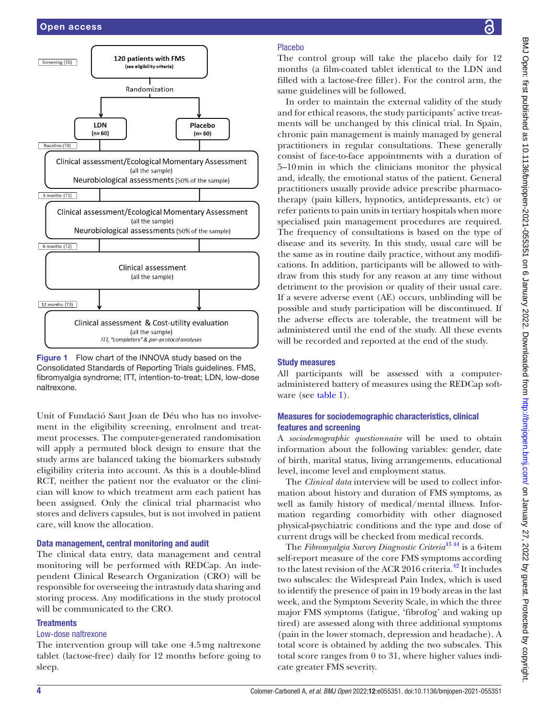

<span id="page-3-0"></span>

Unit of Fundació Sant Joan de Déu who has no involvement in the eligibility screening, enrolment and treatment processes. The computer-generated randomisation will apply a permuted block design to ensure that the study arms are balanced taking the biomarkers substudy eligibility criteria into account. As this is a double-blind RCT, neither the patient nor the evaluator or the clinician will know to which treatment arm each patient has been assigned. Only the clinical trial pharmacist who stores and delivers capsules, but is not involved in patient care, will know the allocation.

#### Data management, central monitoring and audit

The clinical data entry, data management and central monitoring will be performed with REDCap. An independent Clinical Research Organization (CRO) will be responsible for overseeing the intrastudy data sharing and storing process. Any modifications in the study protocol will be communicated to the CRO.

## **Treatments**

#### Low-dose naltrexone

The intervention group will take one 4.5mg naltrexone tablet (lactose-free) daily for 12 months before going to sleep.

## Placebo

The control group will take the placebo daily for 12 months (a film-coated tablet identical to the LDN and filled with a lactose-free filler). For the control arm, the same guidelines will be followed.

In order to maintain the external validity of the study and for ethical reasons, the study participants' active treatments will be unchanged by this clinical trial. In Spain, chronic pain management is mainly managed by general practitioners in regular consultations. These generally consist of face-to-face appointments with a duration of 5–10min in which the clinicians monitor the physical and, ideally, the emotional status of the patient. General practitioners usually provide advice prescribe pharmacotherapy (pain killers, hypnotics, antidepressants, etc) or refer patients to pain units in tertiary hospitals when more specialised pain management procedures are required. The frequency of consultations is based on the type of disease and its severity. In this study, usual care will be the same as in routine daily practice, without any modifications. In addition, participants will be allowed to withdraw from this study for any reason at any time without detriment to the provision or quality of their usual care. If a severe adverse event (AE) occurs, unblinding will be possible and study participation will be discontinued. If the adverse effects are tolerable, the treatment will be administered until the end of the study. All these events will be recorded and reported at the end of the study.

## Study measures

All participants will be assessed with a computeradministered battery of measures using the REDCap software (see [table](#page-4-0) 1).

# Measures for sociodemographic characteristics, clinical features and screening

A *sociodemographic questionnaire* will be used to obtain information about the following variables: gender, date of birth, marital status, living arrangements, educational level, income level and employment status.

The *Clinical data* interview will be used to collect information about history and duration of FMS symptoms, as well as family history of medical/mental illness. Information regarding comorbidity with other diagnosed physical-psychiatric conditions and the type and dose of current drugs will be checked from medical records.

The *Fibromyalgia Survey Diagnostic Criteria*[43 44](#page-9-16) is a 6-item self-report measure of the core FMS symptoms according to the latest revision of the ACR 2016 criteria.<sup>[42](#page-9-15)</sup> It includes two subscales: the Widespread Pain Index, which is used to identify the presence of pain in 19 body areas in the last week, and the Symptom Severity Scale, in which the three major FMS symptoms (fatigue, 'fibrofog' and waking up tired) are assessed along with three additional symptoms (pain in the lower stomach, depression and headache). A total score is obtained by adding the two subscales. This total score ranges from 0 to 31, where higher values indicate greater FMS severity.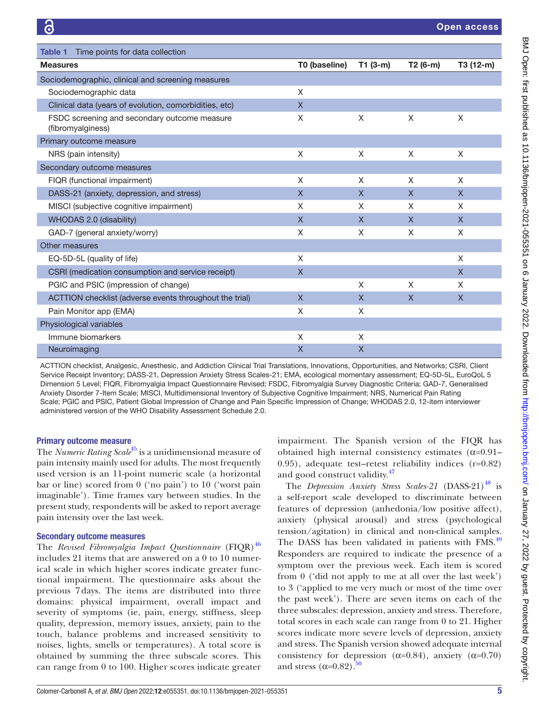<span id="page-4-0"></span>

| Time points for data collection<br>Table 1                        |               |              |              |              |
|-------------------------------------------------------------------|---------------|--------------|--------------|--------------|
| <b>Measures</b>                                                   | T0 (baseline) | $T1(3-m)$    | T2 (6-m)     | T3 (12-m)    |
| Sociodemographic, clinical and screening measures                 |               |              |              |              |
| Sociodemographic data                                             | X             |              |              |              |
| Clinical data (years of evolution, comorbidities, etc)            | $\mathsf{X}$  |              |              |              |
| FSDC screening and secondary outcome measure<br>(fibromyalginess) | X             | X            | X            | X            |
| Primary outcome measure                                           |               |              |              |              |
| NRS (pain intensity)                                              | X             | X            | X            | X            |
| Secondary outcome measures                                        |               |              |              |              |
| FIQR (functional impairment)                                      | X             | X            | X            | X            |
| DASS-21 (anxiety, depression, and stress)                         | X             | $\mathsf{X}$ | $\mathsf{X}$ | $\mathsf{X}$ |
| MISCI (subjective cognitive impairment)                           | X             | X            | X            | X            |
| WHODAS 2.0 (disability)                                           | X             | $\mathsf{X}$ | $\mathsf{X}$ | $\mathsf{X}$ |
| GAD-7 (general anxiety/worry)                                     | X             | X            | X            | X            |
| Other measures                                                    |               |              |              |              |
| EQ-5D-5L (quality of life)                                        | X             |              |              | X            |
| CSRI (medication consumption and service receipt)                 | X             |              |              | $\mathsf{X}$ |
| PGIC and PSIC (impression of change)                              |               | X            | X            | X            |
| ACTTION checklist (adverse events throughout the trial)           | $\mathsf{x}$  | $\mathsf{X}$ | $\mathsf{X}$ | $\mathsf{X}$ |
| Pain Monitor app (EMA)                                            | X             | X            |              |              |
| Physiological variables                                           |               |              |              |              |
| Immune biomarkers                                                 | X             | X            |              |              |
| Neuroimaging                                                      | X             | X            |              |              |

ACTTION checklist, Analgesic, Anesthesic, and Addiction Clinical Trial Translations, Innovations, Opportunities, and Networks; CSRI, Client Service Receipt Inventory; DASS-21, Depression Anxiety Stress Scales-21; EMA, ecological momentary assessment; EQ-5D-5L, EuroQoL 5 Dimension 5 Level; FIQR, Fibromyalgia Impact Questionnaire Revised; FSDC, Fibromyalgia Survey Diagnostic Criteria; GAD-7, Generalised Anxiety Disorder 7-Item Scale; MISCI, Multidimensional Inventory of Subjective Cognitive Impairment; NRS, Numerical Pain Rating Scale; PGIC and PSIC, Patient Global Impression of Change and Pain Specific Impression of Change; WHODAS 2.0, 12-item interviewer administered version of the WHO Disability Assessment Schedule 2.0.

#### Primary outcome measure

The *Numeric Rating Scale*<sup>[45](#page-9-17)</sup> is a unidimensional measure of pain intensity mainly used for adults. The most frequently used version is an 11-point numeric scale (a horizontal bar or line) scored from 0 ('no pain') to 10 ('worst pain imaginable'). Time frames vary between studies. In the present study, respondents will be asked to report average pain intensity over the last week.

#### Secondary outcome measures

The *Revised Fibromyalgia Impact Questionnaire* (FIQR)<sup>[46](#page-9-18)</sup> includes 21 items that are answered on a 0 to 10 numerical scale in which higher scores indicate greater functional impairment. The questionnaire asks about the previous 7 days. The items are distributed into three domains: physical impairment, overall impact and severity of symptoms (ie, pain, energy, stiffness, sleep quality, depression, memory issues, anxiety, pain to the touch, balance problems and increased sensitivity to noises, lights, smells or temperatures). A total score is obtained by summing the three subscale scores. This can range from 0 to 100. Higher scores indicate greater impairment. The Spanish version of the FIQR has obtained high internal consistency estimates  $(\alpha=0.91-$ 0.95), adequate test–retest reliability indices (r=0.82) and good construct validity.<sup>[47](#page-9-19)</sup>

The *Depression Anxiety Stress Scales-21* (DASS-21)<sup>48</sup> is a self-report scale developed to discriminate between features of depression (anhedonia/low positive affect), anxiety (physical arousal) and stress (psychological tension/agitation) in clinical and non-clinical samples. The DASS has been validated in patients with FMS.<sup>[49](#page-9-21)</sup> Responders are required to indicate the presence of a symptom over the previous week. Each item is scored from 0 ('did not apply to me at all over the last week') to 3 ('applied to me very much or most of the time over the past week'). There are seven items on each of the three subscales: depression, anxiety and stress. Therefore, total scores in each scale can range from 0 to 21. Higher scores indicate more severe levels of depression, anxiety and stress. The Spanish version showed adequate internal consistency for depression ( $\alpha$ =0.84), anxiety ( $\alpha$ =0.70) and stress  $(\alpha=0.82)$ .<sup>[50](#page-9-22)</sup>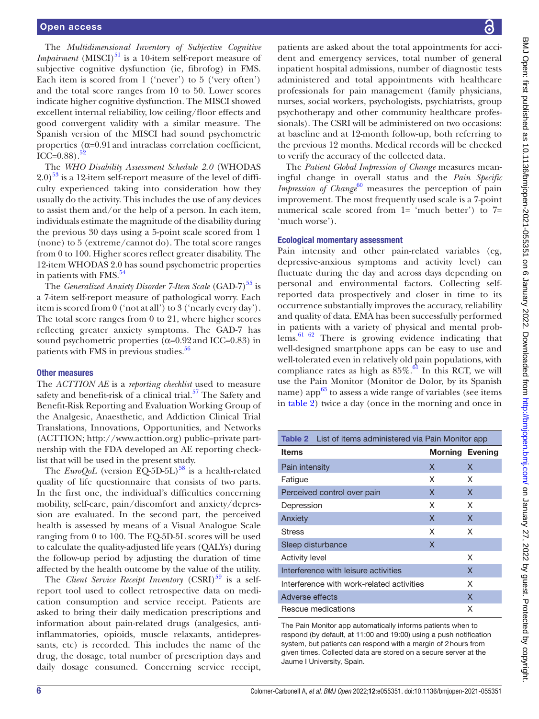The *Multidimensional Inventory of Subjective Cognitive Impairment* (MISCI) $^{51}$  $^{51}$  $^{51}$  is a 10-item self-report measure of subjective cognitive dysfunction (ie, fibrofog) in FMS. Each item is scored from 1 ('never') to 5 ('very often') and the total score ranges from 10 to 50. Lower scores indicate higher cognitive dysfunction. The MISCI showed excellent internal reliability, low ceiling/floor effects and good convergent validity with a similar measure. The Spanish version of the MISCI had sound psychometric properties  $(\alpha=0.91$  and intraclass correlation coefficient, ICC= $0.88$ ).<sup>52</sup>

The *WHO Disability Assessment Schedule 2.0* (WHODAS  $2.0$ )<sup>53</sup> is a 12-item self-report measure of the level of difficulty experienced taking into consideration how they usually do the activity. This includes the use of any devices to assist them and/or the help of a person. In each item, individuals estimate the magnitude of the disability during the previous 30 days using a 5-point scale scored from 1 (none) to 5 (extreme/cannot do). The total score ranges from 0 to 100. Higher scores reflect greater disability. The 12-item WHODAS 2.0 has sound psychometric properties in patients with  $FMS.<sup>54</sup>$  $FMS.<sup>54</sup>$  $FMS.<sup>54</sup>$ 

The *Generalized Anxiety Disorder 7-Item Scale* (GAD-7)<sup>[55](#page-9-27)</sup> is a 7-item self-report measure of pathological worry. Each item is scored from 0 ('not at all') to 3 ('nearly every day'). The total score ranges from 0 to 21, where higher scores reflecting greater anxiety symptoms. The GAD-7 has sound psychometric properties  $(\alpha=0.92 \text{ and } ICC=0.83)$  in patients with FMS in previous studies.<sup>[56](#page-9-28)</sup>

#### Other measures

The *ACTTION AE* is a *reporting checklist* used to measure safety and benefit-risk of a clinical trial.<sup>57</sup> The Safety and Benefit-Risk Reporting and Evaluation Working Group of the Analgesic, Anaesthetic, and Addiction Clinical Trial Translations, Innovations, Opportunities, and Networks (ACTTION; [http://www.acttion.org\)](http://www.acttion.org) public–private partnership with the FDA developed an AE reporting checklist that will be used in the present study.

The *EuroQoL* (version EQ-5D-5L)<sup>58</sup> is a health-related quality of life questionnaire that consists of two parts. In the first one, the individual's difficulties concerning mobility, self-care, pain/discomfort and anxiety/depression are evaluated. In the second part, the perceived health is assessed by means of a Visual Analogue Scale ranging from 0 to 100. The EQ-5D-5L scores will be used to calculate the quality-adjusted life years (QALYs) during the follow-up period by adjusting the duration of time affected by the health outcome by the value of the utility.

The *Client Service Receipt Inventory* (CSRI)<sup>[59](#page-9-31)</sup> is a selfreport tool used to collect retrospective data on medication consumption and service receipt. Patients are asked to bring their daily medication prescriptions and information about pain-related drugs (analgesics, antiinflammatories, opioids, muscle relaxants, antidepressants, etc) is recorded. This includes the name of the drug, the dosage, total number of prescription days and daily dosage consumed. Concerning service receipt,

patients are asked about the total appointments for accident and emergency services, total number of general inpatient hospital admissions, number of diagnostic tests administered and total appointments with healthcare professionals for pain management (family physicians, nurses, social workers, psychologists, psychiatrists, group psychotherapy and other community healthcare professionals). The CSRI will be administered on two occasions: at baseline and at 12-month follow-up, both referring to the previous 12 months. Medical records will be checked to verify the accuracy of the collected data.

The *Patient Global Impression of Change* measures meaningful change in overall status and the *Pain Specific Impression of Change*<sup>[60](#page-9-32)</sup> measures the perception of pain improvement. The most frequently used scale is a 7-point numerical scale scored from 1= 'much better') to 7= 'much worse').

#### Ecological momentary assessment

Pain intensity and other pain-related variables (eg, depressive-anxious symptoms and activity level) can fluctuate during the day and across days depending on personal and environmental factors. Collecting selfreported data prospectively and closer in time to its occurrence substantially improves the accuracy, reliability and quality of data. EMA has been successfully performed in patients with a variety of physical and mental prob $lems.$ <sup>61 62</sup> There is growing evidence indicating that well-designed smartphone apps can be easy to use and well-tolerated even in relatively old pain populations, with compliance rates as high as  $85\%$ .<sup>61</sup> In this RCT, we will use the Pain Monitor (Monitor de Dolor, by its Spanish name) app $^{63}$  to assess a wide range of variables (see items in [table](#page-5-0) 2) twice a day (once in the morning and once in

<span id="page-5-0"></span>

| <b>Table 2</b> List of items administered via Pain Monitor app |                        |   |  |  |
|----------------------------------------------------------------|------------------------|---|--|--|
| <b>Items</b>                                                   | <b>Morning Evening</b> |   |  |  |
| Pain intensity                                                 | X                      | X |  |  |
| Fatigue                                                        | X                      | X |  |  |
| Perceived control over pain                                    | X                      | X |  |  |
| Depression                                                     | X                      | X |  |  |
| Anxiety                                                        | X                      | X |  |  |
| <b>Stress</b>                                                  | X                      | X |  |  |
| Sleep disturbance                                              | X                      |   |  |  |
| <b>Activity level</b>                                          |                        | X |  |  |
| Interference with leisure activities                           |                        | X |  |  |
| Interference with work-related activities                      | X                      |   |  |  |
| Adverse effects                                                |                        | X |  |  |
| Rescue medications                                             |                        | X |  |  |

The Pain Monitor app automatically informs patients when to respond (by default, at 11:00 and 19:00) using a push notification system, but patients can respond with a margin of 2hours from given times. Collected data are stored on a secure server at the Jaume I University, Spain.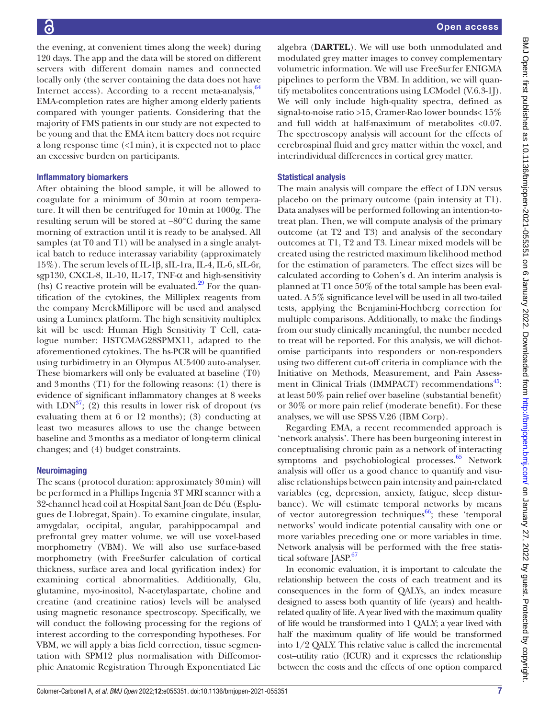the evening, at convenient times along the week) during 120 days. The app and the data will be stored on different servers with different domain names and connected locally only (the server containing the data does not have Internet access). According to a recent meta-analysis,  $64$ EMA-completion rates are higher among elderly patients compared with younger patients. Considering that the majority of FMS patients in our study are not expected to be young and that the EMA item battery does not require a long response time (<1min), it is expected not to place an excessive burden on participants.

# Inflammatory biomarkers

After obtaining the blood sample, it will be allowed to coagulate for a minimum of 30min at room temperature. It will then be centrifuged for 10min at 1000g. The resulting serum will be stored at −80°C during the same morning of extraction until it is ready to be analysed. All samples (at T0 and T1) will be analysed in a single analytical batch to reduce interassay variability (approximately 15%). The serum levels of IL-1β, sIL-1ra, IL-4, IL-6, sIL-6r, sgp130, CXCL-8, IL-10, IL-17, TNF-α and high-sensitivity (hs) C reactive protein will be evaluated. $^{29}$  For the quantification of the cytokines, the Milliplex reagents from the company MerckMillipore will be used and analysed using a Luminex platform. The high sensitivity multiplex kit will be used: Human High Sensitivity T Cell, catalogue number: HSTCMAG28SPMX11, adapted to the aforementioned cytokines. The hs-PCR will be quantified using turbidimetry in an Olympus AU5400 auto-analyser. These biomarkers will only be evaluated at baseline (T0) and 3months (T1) for the following reasons: (1) there is evidence of significant inflammatory changes at 8 weeks with  $LDN<sup>37</sup>$ ; (2) this results in lower risk of dropout (vs evaluating them at 6 or 12 months); (3) conducting at least two measures allows to use the change between baseline and 3months as a mediator of long-term clinical changes; and (4) budget constraints.

# **Neuroimaging**

The scans (protocol duration: approximately 30min) will be performed in a Phillips Ingenia 3T MRI scanner with a 32-channel head coil at Hospital Sant Joan de Déu (Esplugues de Llobregat, Spain). To examine cingulate, insular, amygdalar, occipital, angular, parahippocampal and prefrontal grey matter volume, we will use voxel-based morphometry (VBM). We will also use surface-based morphometry (with FreeSurfer calculation of cortical thickness, surface area and local gyrification index) for examining cortical abnormalities. Additionally, Glu, glutamine, myo-inositol, N-acetylaspartate, choline and creatine (and creatinine ratios) levels will be analysed using magnetic resonance spectroscopy. Specifically, we will conduct the following processing for the regions of interest according to the corresponding hypotheses. For VBM, we will apply a bias field correction, tissue segmentation with SPM12 plus normalisation with Diffeomorphic Anatomic Registration Through Exponentiated Lie

algebra (**DARTEL**). We will use both unmodulated and modulated grey matter images to convey complementary volumetric information. We will use FreeSurfer ENIGMA pipelines to perform the VBM. In addition, we will quantify metabolites concentrations using LCModel (V.6.3-1J). We will only include high-quality spectra, defined as signal-to-noise ratio >15, Cramer-Rao lower bounds< 15% and full width at half-maximum of metabolites <0.07. The spectroscopy analysis will account for the effects of cerebrospinal fluid and grey matter within the voxel, and interindividual differences in cortical grey matter.

# Statistical analysis

The main analysis will compare the effect of LDN versus placebo on the primary outcome (pain intensity at T1). Data analyses will be performed following an intention-totreat plan. Then, we will compute analysis of the primary outcome (at T2 and T3) and analysis of the secondary outcomes at T1, T2 and T3. Linear mixed models will be created using the restricted maximum likelihood method for the estimation of parameters. The effect sizes will be calculated according to Cohen's d. An interim analysis is planned at T1 once 50% of the total sample has been evaluated. A 5% significance level will be used in all two-tailed tests, applying the Benjamini-Hochberg correction for multiple comparisons. Additionally, to make the findings from our study clinically meaningful, the number needed to treat will be reported. For this analysis, we will dichotomise participants into responders or non-responders using two different cut-off criteria in compliance with the Initiative on Methods, Measurement, and Pain Assessment in Clinical Trials (IMMPACT) recommendations<sup>45</sup>: at least 50% pain relief over baseline (substantial benefit) or 30% or more pain relief (moderate benefit). For these analyses, we will use SPSS V.26 (IBM Corp).

Regarding EMA, a recent recommended approach is 'network analysis'. There has been burgeoning interest in conceptualising chronic pain as a network of interacting symptoms and psychobiological processes. $65$  Network analysis will offer us a good chance to quantify and visualise relationships between pain intensity and pain-related variables (eg, depression, anxiety, fatigue, sleep disturbance). We will estimate temporal networks by means of vector autoregression techniques $^{66}$ ; these 'temporal networks' would indicate potential causality with one or more variables preceding one or more variables in time. Network analysis will be performed with the free statis-tical software JASP.<sup>[67](#page-9-38)</sup>

In economic evaluation, it is important to calculate the relationship between the costs of each treatment and its consequences in the form of QALYs, an index measure designed to assess both quantity of life (years) and healthrelated quality of life. A year lived with the maximum quality of life would be transformed into 1 QALY; a year lived with half the maximum quality of life would be transformed into 1/2 QALY. This relative value is called the incremental cost–utility ratio (ICUR) and it expresses the relationship between the costs and the effects of one option compared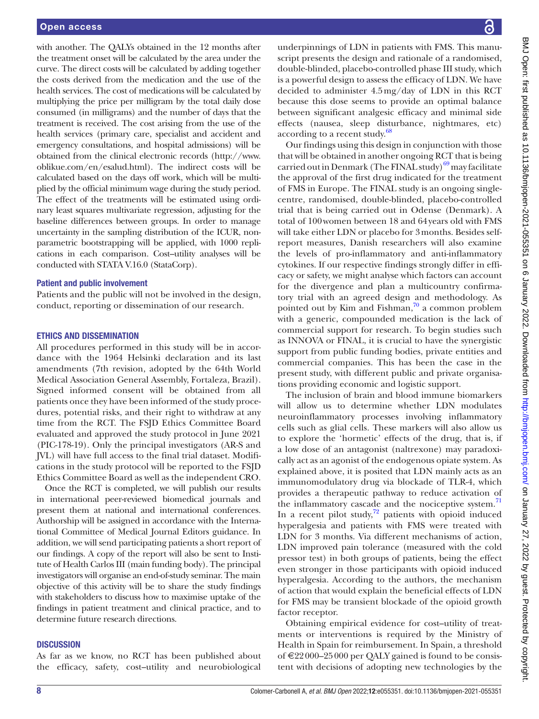with another. The QALYs obtained in the 12 months after the treatment onset will be calculated by the area under the curve. The direct costs will be calculated by adding together the costs derived from the medication and the use of the health services. The cost of medications will be calculated by multiplying the price per milligram by the total daily dose consumed (in milligrams) and the number of days that the treatment is received. The cost arising from the use of the health services (primary care, specialist and accident and emergency consultations, and hospital admissions) will be obtained from the clinical electronic records [\(http://www.](http://www.oblikue.com/en/esalud.html) [oblikue.com/en/esalud.html](http://www.oblikue.com/en/esalud.html)). The indirect costs will be calculated based on the days off work, which will be multiplied by the official minimum wage during the study period. The effect of the treatments will be estimated using ordinary least squares multivariate regression, adjusting for the baseline differences between groups. In order to manage uncertainty in the sampling distribution of the ICUR, nonparametric bootstrapping will be applied, with 1000 replications in each comparison. Cost–utility analyses will be conducted with STATA V.16.0 (StataCorp).

#### Patient and public involvement

Patients and the public will not be involved in the design, conduct, reporting or dissemination of our research.

## ETHICS AND DISSEMINATION

All procedures performed in this study will be in accordance with the 1964 Helsinki declaration and its last amendments (7th revision, adopted by the 64th World Medical Association General Assembly, Fortaleza, Brazil). Signed informed consent will be obtained from all patients once they have been informed of the study procedures, potential risks, and their right to withdraw at any time from the RCT. The FSJD Ethics Committee Board evaluated and approved the study protocol in June 2021 (PIC-178-19). Only the principal investigators (AR-S and JVL) will have full access to the final trial dataset. Modifications in the study protocol will be reported to the FSJD Ethics Committee Board as well as the independent CRO.

Once the RCT is completed, we will publish our results in international peer-reviewed biomedical journals and present them at national and international conferences. Authorship will be assigned in accordance with the International Committee of Medical Journal Editors guidance. In addition, we will send participating patients a short report of our findings. A copy of the report will also be sent to Institute of Health Carlos III (main funding body). The principal investigators will organise an end-of-study seminar. The main objective of this activity will be to share the study findings with stakeholders to discuss how to maximise uptake of the findings in patient treatment and clinical practice, and to determine future research directions.

#### **DISCUSSION**

As far as we know, no RCT has been published about the efficacy, safety, cost–utility and neurobiological

underpinnings of LDN in patients with FMS. This manuscript presents the design and rationale of a randomised, double-blinded, placebo-controlled phase III study, which is a powerful design to assess the efficacy of LDN. We have decided to administer 4.5mg/day of LDN in this RCT because this dose seems to provide an optimal balance between significant analgesic efficacy and minimal side effects (nausea, sleep disturbance, nightmares, etc) according to a recent study.<sup>[68](#page-9-39)</sup>

Our findings using this design in conjunction with those that will be obtained in another ongoing RCT that is being carried out in Denmark (The FINAL study) $^{69}$  may facilitate the approval of the first drug indicated for the treatment of FMS in Europe. The FINAL study is an ongoing singlecentre, randomised, double-blinded, placebo-controlled trial that is being carried out in Odense (Denmark). A total of 100women between 18 and 64years old with FMS will take either LDN or placebo for 3months. Besides selfreport measures, Danish researchers will also examine the levels of pro-inflammatory and anti-inflammatory cytokines. If our respective findings strongly differ in efficacy or safety, we might analyse which factors can account for the divergence and plan a multicountry confirmatory trial with an agreed design and methodology. As pointed out by Kim and Fishman, $\frac{70}{2}$  a common problem with a generic, compounded medication is the lack of commercial support for research. To begin studies such as INNOVA or FINAL, it is crucial to have the synergistic support from public funding bodies, private entities and commercial companies. This has been the case in the present study, with different public and private organisations providing economic and logistic support.

The inclusion of brain and blood immune biomarkers will allow us to determine whether LDN modulates neuroinflammatory processes involving inflammatory cells such as glial cells. These markers will also allow us to explore the 'hormetic' effects of the drug, that is, if a low dose of an antagonist (naltrexone) may paradoxically act as an agonist of the endogenous opiate system. As explained above, it is posited that LDN mainly acts as an immunomodulatory drug via blockade of TLR-4, which provides a therapeutic pathway to reduce activation of the inflammatory cascade and the nociceptive system. $71$ In a recent pilot study, $72$  patients with opioid induced hyperalgesia and patients with FMS were treated with LDN for 3 months. Via different mechanisms of action, LDN improved pain tolerance (measured with the cold pressor test) in both groups of patients, being the effect even stronger in those participants with opioid induced hyperalgesia. According to the authors, the mechanism of action that would explain the beneficial effects of LDN for FMS may be transient blockade of the opioid growth factor receptor.

Obtaining empirical evidence for cost–utility of treatments or interventions is required by the Ministry of Health in Spain for reimbursement. In Spain, a threshold of €22000–25000 per QALY gained is found to be consistent with decisions of adopting new technologies by the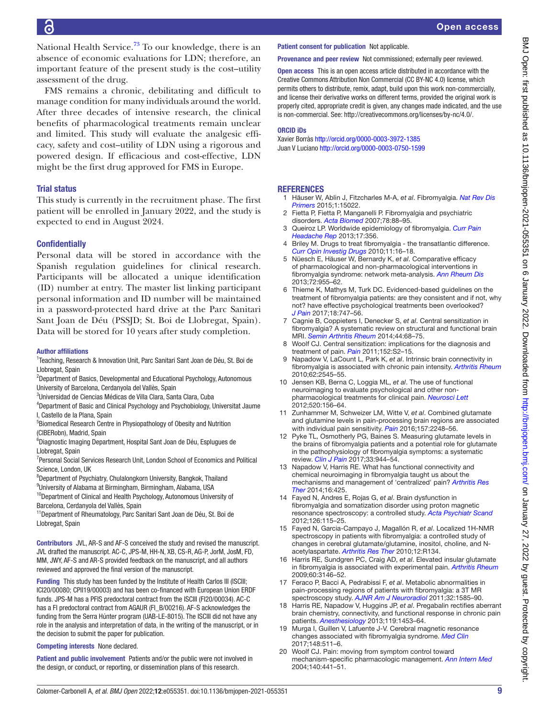National Health Service.<sup>[73](#page-10-2)</sup> To our knowledge, there is an absence of economic evaluations for LDN; therefore, an important feature of the present study is the cost–utility assessment of the drug.

FMS remains a chronic, debilitating and difficult to manage condition for many individuals around the world. After three decades of intensive research, the clinical benefits of pharmacological treatments remain unclear and limited. This study will evaluate the analgesic efficacy, safety and cost–utility of LDN using a rigorous and powered design. If efficacious and cost-effective, LDN might be the first drug approved for FMS in Europe.

## Trial status

This study is currently in the recruitment phase. The first patient will be enrolled in January 2022, and the study is expected to end in August 2024.

## **Confidentially**

Personal data will be stored in accordance with the Spanish regulation guidelines for clinical research. Participants will be allocated a unique identification (ID) number at entry. The master list linking participant personal information and ID number will be maintained in a password-protected hard drive at the Parc Sanitari Sant Joan de Déu (PSSJD; St. Boi de Llobregat, Spain). Data will be stored for 10 years after study completion.

#### Author affiliations

<sup>1</sup> Teaching, Research & Innovation Unit, Parc Sanitari Sant Joan de Déu, St. Boi de Llobregat, Spain

<sup>2</sup>Department of Basics, Developmental and Educational Psychology, Autonomous University of Barcelona, Cerdanyola del Vallès, Spain

3 Universidad de Ciencias Médicas de Villa Clara, Santa Clara, Cuba

- <sup>4</sup>Department of Basic and Clinical Psychology and Psychobiology, Universitat Jaume I, Castello de la Plana, Spain
- 5 Biomedical Research Centre in Physiopathology of Obesity and Nutrition (CIBERobn), Madrid, Spain

6 Diagnostic Imaging Department, Hospital Sant Joan de Déu, Esplugues de Llobregat, Spain

<sup>7</sup> Personal Social Services Research Unit, London School of Economics and Political Science, London, UK

8 Department of Psychiatry, Chulalongkorn University, Bangkok, Thailand

9 University of Alabama at Birmingham, Birmingham, Alabama, USA <sup>10</sup>Department of Clinical and Health Psychology, Autonomous University of

Barcelona, Cerdanyola del Vallès, Spain

11Department of Rheumatology, Parc Sanitari Sant Joan de Déu, St. Boi de Llobregat, Spain

Contributors JVL, AR-S and AF-S conceived the study and revised the manuscript. JVL drafted the manuscript. AC-C, JPS-M, HH-N, XB, CS-R, AG-P, JorM, JosM, FD, MM, JWY, AF-S and AR-S provided feedback on the manuscript, and all authors reviewed and approved the final version of the manuscript.

Funding This study has been funded by the Institute of Health Carlos III (ISCIII; ICI20/00080; CPII19/00003) and has been co-financed with European Union ERDF funds. JPS-M has a PFIS predoctoral contract from the ISCIII (FI20/00034). AC-C has a FI predoctoral contract from AGAUR (FI\_B/00216). AF-S acknowledges the funding from the Serra Húnter program (UAB-LE-8015). The ISCIII did not have any role in the analysis and interpretation of data, in the writing of the manuscript, or in the decision to submit the paper for publication.

#### Competing interests None declared.

Patient and public involvement Patients and/or the public were not involved in the design, or conduct, or reporting, or dissemination plans of this research.

## Patient consent for publication Not applicable.

Provenance and peer review Not commissioned; externally peer reviewed.

Open access This is an open access article distributed in accordance with the Creative Commons Attribution Non Commercial (CC BY-NC 4.0) license, which permits others to distribute, remix, adapt, build upon this work non-commercially, and license their derivative works on different terms, provided the original work is properly cited, appropriate credit is given, any changes made indicated, and the use is non-commercial. See: [http://creativecommons.org/licenses/by-nc/4.0/.](http://creativecommons.org/licenses/by-nc/4.0/)

#### ORCID iDs

Xavier Borràs<http://orcid.org/0000-0003-3972-1385> Juan V Luciano <http://orcid.org/0000-0003-0750-1599>

#### **REFERENCES**

- <span id="page-8-0"></span>1 Häuser W, Ablin J, Fitzcharles M-A, *et al*. Fibromyalgia. *[Nat Rev Dis](http://dx.doi.org/10.1038/nrdp.2015.22)  [Primers](http://dx.doi.org/10.1038/nrdp.2015.22)* 2015;1:15022.
- <span id="page-8-2"></span>2 Fietta P, Fietta P, Manganelli P. Fibromyalgia and psychiatric disorders. *[Acta Biomed](http://www.ncbi.nlm.nih.gov/pubmed/17933276)* 2007;78:88–95.
- <span id="page-8-1"></span>3 Queiroz LP. Worldwide epidemiology of fibromyalgia. *[Curr Pain](http://dx.doi.org/10.1007/s11916-013-0356-5)  [Headache Rep](http://dx.doi.org/10.1007/s11916-013-0356-5)* 2013;17:356.
- <span id="page-8-3"></span>Briley M. Drugs to treat fibromyalgia - the transatlantic difference. *[Curr Opin Investig Drugs](http://www.ncbi.nlm.nih.gov/pubmed/20047155)* 2010;11:16–18.
- 5 Nüesch E, Häuser W, Bernardy K, *et al*. Comparative efficacy of pharmacological and non-pharmacological interventions in fibromyalgia syndrome: network meta-analysis. *[Ann Rheum Dis](http://dx.doi.org/10.1136/annrheumdis-2011-201249)* 2013;72:955–62.
- 6 Thieme K, Mathys M, Turk DC. Evidenced-based guidelines on the treatment of fibromyalgia patients: are they consistent and if not, why not? have effective psychological treatments been overlooked? *[J Pain](http://dx.doi.org/10.1016/j.jpain.2016.12.006)* 2017;18:747–56.
- <span id="page-8-4"></span>7 Cagnie B, Coppieters I, Denecker S, *et al*. Central sensitization in fibromyalgia? A systematic review on structural and functional brain MRI. *[Semin Arthritis Rheum](http://dx.doi.org/10.1016/j.semarthrit.2014.01.001)* 2014;44:68–75.
- 8 Woolf CJ. Central sensitization: implications for the diagnosis and treatment of pain. *[Pain](http://dx.doi.org/10.1016/j.pain.2010.09.030)* 2011;152:S2–15.
- <span id="page-8-5"></span>Napadow V, LaCount L, Park K, et al. Intrinsic brain connectivity in fibromyalgia is associated with chronic pain intensity. *[Arthritis Rheum](http://dx.doi.org/10.1002/art.27497)* 2010;62:2545–55.
- <span id="page-8-6"></span>10 Jensen KB, Berna C, Loggia ML, *et al*. The use of functional neuroimaging to evaluate psychological and other nonpharmacological treatments for clinical pain. *[Neurosci Lett](http://dx.doi.org/10.1016/j.neulet.2012.03.010)* 2012;520:156–64.
- <span id="page-8-7"></span>11 Zunhammer M, Schweizer LM, Witte V, *et al*. Combined glutamate and glutamine levels in pain-processing brain regions are associated with individual pain sensitivity. *[Pain](http://dx.doi.org/10.1097/j.pain.0000000000000634)* 2016;157:2248–56.
- 12 Pyke TL, Osmotherly PG, Baines S. Measuring glutamate levels in the brains of fibromyalgia patients and a potential role for glutamate in the pathophysiology of fibromyalgia symptoms: a systematic review. *[Clin J Pain](http://dx.doi.org/10.1097/AJP.0000000000000474)* 2017;33:944–54.
- 13 Napadow V, Harris RE. What has functional connectivity and chemical neuroimaging in fibromyalgia taught us about the mechanisms and management of 'centralized' pain? *[Arthritis Res](http://dx.doi.org/10.1186/s13075-014-0425-0)  [Ther](http://dx.doi.org/10.1186/s13075-014-0425-0)* 2014;16:425.
- 14 Fayed N, Andres E, Rojas G, *et al*. Brain dysfunction in fibromyalgia and somatization disorder using proton magnetic resonance spectroscopy: a controlled study. *[Acta Psychiatr Scand](http://dx.doi.org/10.1111/j.1600-0447.2011.01820.x)* 2012;126:115–25.
- <span id="page-8-8"></span>15 Fayed N, Garcia-Campayo J, Magallón R, *et al*. Localized 1H-NMR spectroscopy in patients with fibromyalgia: a controlled study of changes in cerebral glutamate/glutamine, inositol, choline, and Nacetylaspartate. *[Arthritis Res Ther](http://dx.doi.org/10.1186/ar3072)* 2010;12:R134.
- 16 Harris RE, Sundgren PC, Craig AD, *et al*. Elevated insular glutamate in fibromyalgia is associated with experimental pain. *[Arthritis Rheum](http://dx.doi.org/10.1002/art.24849)* 2009;60:3146–52.
- 17 Feraco P, Bacci A, Pedrabissi F, *et al*. Metabolic abnormalities in pain-processing regions of patients with fibromyalgia: a 3T MR spectroscopy study. *[AJNR Am J Neuroradiol](http://dx.doi.org/10.3174/ajnr.A2550)* 2011;32:1585–90.
- 18 Harris RE, Napadow V, Huggins JP, *et al*. Pregabalin rectifies aberrant brain chemistry, connectivity, and functional response in chronic pain patients. *[Anesthesiology](http://dx.doi.org/10.1097/ALN.0000000000000017)* 2013;119:1453–64.
- 19 Murga I, Guillen V, Lafuente J-V. Cerebral magnetic resonance changes associated with fibromyalgia syndrome. *[Med Clin](http://dx.doi.org/10.1016/j.medcli.2017.01.034)* 2017;148:511–6.
- <span id="page-8-9"></span>20 Woolf CJ. Pain: moving from symptom control toward mechanism-specific pharmacologic management. *[Ann Intern Med](http://dx.doi.org/10.7326/0003-4819-140-8-200404200-00010)* 2004;140:441–51.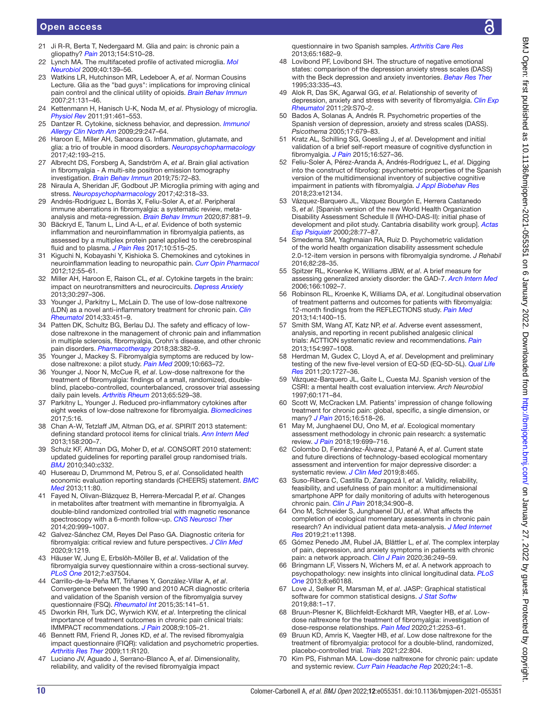# Open access

- 21 Ji R-R, Berta T, Nedergaard M. Glia and pain: is chronic pain a gliopathy? *[Pain](http://dx.doi.org/10.1016/j.pain.2013.06.022)* 2013;154:S10–28.
- <span id="page-9-0"></span>22 Lynch MA. The multifaceted profile of activated microglia. *[Mol](http://dx.doi.org/10.1007/s12035-009-8077-9)  [Neurobiol](http://dx.doi.org/10.1007/s12035-009-8077-9)* 2009;40:139–56.
- <span id="page-9-1"></span>23 Watkins LR, Hutchinson MR, Ledeboer A, *et al*. Norman Cousins Lecture. Glia as the "bad guys": implications for improving clinical pain control and the clinical utility of opioids. *[Brain Behav Immun](http://dx.doi.org/10.1016/j.bbi.2006.10.011)* 2007;21:131–46.
- <span id="page-9-2"></span>24 Kettenmann H, Hanisch U-K, Noda M, *et al*. Physiology of microglia. *[Physiol Rev](http://dx.doi.org/10.1152/physrev.00011.2010)* 2011;91:461–553.
- 25 Dantzer R. Cytokine, sickness behavior, and depression. *[Immunol](http://dx.doi.org/10.1016/j.iac.2009.02.002)  [Allergy Clin North Am](http://dx.doi.org/10.1016/j.iac.2009.02.002)* 2009;29:247–64.
- <span id="page-9-3"></span>26 Haroon E, Miller AH, Sanacora G. Inflammation, glutamate, and glia: a trio of trouble in mood disorders. *[Neuropsychopharmacology](http://dx.doi.org/10.1038/npp.2016.199)* 2017;42:193–215.
- <span id="page-9-4"></span>27 Albrecht DS, Forsberg A, Sandström A, *et al*. Brain glial activation in fibromyalgia - A multi-site positron emission tomography investigation. *[Brain Behav Immun](http://dx.doi.org/10.1016/j.bbi.2018.09.018)* 2019;75:72–83.
- <span id="page-9-5"></span>28 Niraula A, Sheridan JF, Godbout JP. Microglia priming with aging and stress. *[Neuropsychopharmacology](http://dx.doi.org/10.1038/npp.2016.185)* 2017;42:318–33.
- <span id="page-9-6"></span>29 Andrés-Rodríguez L, Borràs X, Feliu-Soler A, *et al*. Peripheral immune aberrations in fibromyalgia: a systematic review, metaanalysis and meta-regression. *[Brain Behav Immun](http://dx.doi.org/10.1016/j.bbi.2019.12.020)* 2020;87:881–9.
- <span id="page-9-7"></span>30 Bäckryd E, Tanum L, Lind A-L, *et al*. Evidence of both systemic inflammation and neuroinflammation in fibromyalgia patients, as assessed by a multiplex protein panel applied to the cerebrospinal fluid and to plasma. *[J Pain Res](http://dx.doi.org/10.2147/JPR.S128508)* 2017;10:515–25.
- 31 Kiguchi N, Kobayashi Y, Kishioka S. Chemokines and cytokines in neuroinflammation leading to neuropathic pain. *[Curr Opin Pharmacol](http://dx.doi.org/10.1016/j.coph.2011.10.007)* 2012;12:55–61.
- 32 Miller AH, Haroon E, Raison CL, *et al*. Cytokine targets in the brain: impact on neurotransmitters and neurocircuits. *[Depress Anxiety](http://dx.doi.org/10.1002/da.22084)* 2013;30:297–306.
- <span id="page-9-8"></span>33 Younger J, Parkitny L, McLain D. The use of low-dose naltrexone (LDN) as a novel anti-inflammatory treatment for chronic pain. *[Clin](http://dx.doi.org/10.1007/s10067-014-2517-2)  [Rheumatol](http://dx.doi.org/10.1007/s10067-014-2517-2)* 2014;33:451–9.
- 34 Patten DK, Schultz BG, Berlau DJ. The safety and efficacy of lowdose naltrexone in the management of chronic pain and inflammation in multiple sclerosis, fibromyalgia, Crohn's disease, and other chronic pain disorders. *[Pharmacotherapy](http://dx.doi.org/10.1002/phar.2086)* 2018;38:382–9.
- <span id="page-9-9"></span>35 Younger J, Mackey S. Fibromyalgia symptoms are reduced by lowdose naltrexone: a pilot study. *[Pain Med](http://dx.doi.org/10.1111/j.1526-4637.2009.00613.x)* 2009;10:663–72.
- <span id="page-9-10"></span>36 Younger J, Noor N, McCue R, *et al*. Low-dose naltrexone for the treatment of fibromyalgia: findings of a small, randomized, doubleblind, placebo-controlled, counterbalanced, crossover trial assessing daily pain levels. *[Arthritis Rheum](http://dx.doi.org/10.1002/art.37734)* 2013;65:529–38.
- <span id="page-9-11"></span>37 Parkitny L, Younger J. Reduced pro-inflammatory cytokines after eight weeks of low-dose naltrexone for fibromyalgia. *[Biomedicines](http://dx.doi.org/10.3390/biomedicines5020016)* 2017;5:16.
- <span id="page-9-12"></span>38 Chan A-W, Tetzlaff JM, Altman DG, *et al*. SPIRIT 2013 statement: defining standard protocol items for clinical trials. *[Ann Intern Med](http://dx.doi.org/10.7326/0003-4819-158-3-201302050-00583)* 2013;158:200–7.
- <span id="page-9-13"></span>39 Schulz KF, Altman DG, Moher D, *et al*. CONSORT 2010 statement: updated guidelines for reporting parallel group randomised trials. *[BMJ](http://dx.doi.org/10.1136/bmj.c332)* 2010;340:c332.
- <span id="page-9-14"></span>40 Husereau D, Drummond M, Petrou S, *et al*. Consolidated health economic evaluation reporting standards (CHEERS) statement. *[BMC](http://dx.doi.org/10.1186/1741-7015-11-80)  [Med](http://dx.doi.org/10.1186/1741-7015-11-80)* 2013;11:80.
- 41 Fayed N, Olivan-Blázquez B, Herrera-Mercadal P, *et al*. Changes in metabolites after treatment with memantine in fibromyalgia. A double-blind randomized controlled trial with magnetic resonance spectroscopy with a 6-month follow-up. *[CNS Neurosci Ther](http://dx.doi.org/10.1111/cns.12314)* 2014;20:999–1007.
- <span id="page-9-15"></span>42 Galvez-Sánchez CM, Reyes Del Paso GA. Diagnostic criteria for fibromyalgia: critical review and future perspectives. *[J Clin Med](http://dx.doi.org/10.3390/jcm9041219)* 2020;9:1219.
- <span id="page-9-16"></span>43 Häuser W, Jung E, Erbslöh-Möller B, *et al*. Validation of the fibromyalgia survey questionnaire within a cross-sectional survey. *[PLoS One](http://dx.doi.org/10.1371/journal.pone.0037504)* 2012;7:e37504.
- 44 Carrillo-de-la-Peña MT, Triñanes Y, González-Villar A, *et al*. Convergence between the 1990 and 2010 ACR diagnostic criteria and validation of the Spanish version of the fibromyalgia survey questionnaire (FSQ). *[Rheumatol Int](http://dx.doi.org/10.1007/s00296-014-3074-3)* 2015;35:141–51.
- <span id="page-9-17"></span>45 Dworkin RH, Turk DC, Wyrwich KW, *et al*. Interpreting the clinical importance of treatment outcomes in chronic pain clinical trials: IMMPACT recommendations. *[J Pain](http://dx.doi.org/10.1016/j.jpain.2007.09.005)* 2008;9:105–21.
- <span id="page-9-18"></span>46 Bennett RM, Friend R, Jones KD, *et al*. The revised fibromyalgia impact questionnaire (FIQR): validation and psychometric properties. *[Arthritis Res Ther](http://dx.doi.org/10.1186/ar2783)* 2009;11:R120.
- <span id="page-9-19"></span>47 Luciano JV, Aguado J, Serrano-Blanco A, *et al*. Dimensionality, reliability, and validity of the revised fibromyalgia impact

questionnaire in two Spanish samples. *[Arthritis Care Res](http://dx.doi.org/10.1002/acr.22034)* 2013;65:1682–9.

- <span id="page-9-20"></span>48 Lovibond PF, Lovibond SH. The structure of negative emotional states: comparison of the depression anxiety stress scales (DASS) with the Beck depression and anxiety inventories. *[Behav Res Ther](http://dx.doi.org/10.1016/0005-7967(94)00075-U)* 1995;33:335–43.
- <span id="page-9-21"></span>49 Alok R, Das SK, Agarwal GG, *et al*. Relationship of severity of depression, anxiety and stress with severity of fibromyalgia. *[Clin Exp](http://www.ncbi.nlm.nih.gov/pubmed/22243551)  [Rheumatol](http://www.ncbi.nlm.nih.gov/pubmed/22243551)* 2011;29:S70–2.
- <span id="page-9-22"></span>50 Bados A, Solanas A, Andrés R. Psychometric properties of the Spanish version of depression, anxiety and stress scales (DASS). *Psicothema* 2005;17:679–83.
- <span id="page-9-23"></span>51 Kratz AL, Schilling SG, Goesling J, *et al*. Development and initial validation of a brief self-report measure of cognitive dysfunction in fibromyalgia. *[J Pain](http://dx.doi.org/10.1016/j.jpain.2015.02.008)* 2015;16:527–36.
- <span id="page-9-24"></span>52 Feliu-Soler A, Pérez-Aranda A, Andrés-Rodríguez L, *et al*. Digging into the construct of fibrofog: psychometric properties of the Spanish version of the multidimensional inventory of subjective cognitive impairment in patients with fibromyalgia. *[J Appl Biobehav Res](http://dx.doi.org/10.1111/jabr.12134)* 2018;23:e12134.
- <span id="page-9-25"></span>53 Vázquez-Barquero JL, Vázquez Bourgón E, Herrera Castanedo S, *et al*. [Spanish version of the new World Health Organization Disability Assessment Schedule II (WHO-DAS-II): initial phase of development and pilot study. Cantabria disability work group]. *[Actas](http://www.ncbi.nlm.nih.gov/pubmed/10937388)  [Esp Psiquiatr](http://www.ncbi.nlm.nih.gov/pubmed/10937388)* 2000;28:77–87.
- <span id="page-9-26"></span>54 Smedema SM, Yaghmaian RA, Ruiz D. Psychometric validation of the world health organization disability assessment schedule 2.0-12-item version in persons with fibromyalgia syndrome. *J Rehabil* 2016;82:28–35.
- <span id="page-9-27"></span>55 Spitzer RL, Kroenke K, Williams JBW, *et al*. A brief measure for assessing generalized anxiety disorder: the GAD-7. *[Arch Intern Med](http://dx.doi.org/10.1001/archinte.166.10.1092)* 2006;166:1092–7.
- <span id="page-9-28"></span>56 Robinson RL, Kroenke K, Williams DA, *et al*. Longitudinal observation of treatment patterns and outcomes for patients with fibromyalgia: 12-month findings from the REFLECTIONS study. *[Pain Med](http://dx.doi.org/10.1111/pme.12168)* 2013;14:1400–15.
- <span id="page-9-29"></span>57 Smith SM, Wang AT, Katz NP, *et al*. Adverse event assessment, analysis, and reporting in recent published analgesic clinical trials: ACTTION systematic review and recommendations. *[Pain](http://dx.doi.org/10.1016/j.pain.2013.03.003)* 2013;154:997–1008.
- <span id="page-9-30"></span>58 Herdman M, Gudex C, Lloyd A, *et al*. Development and preliminary testing of the new five-level version of EQ-5D (EQ-5D-5L). *[Qual Life](http://dx.doi.org/10.1007/s11136-011-9903-x)  [Res](http://dx.doi.org/10.1007/s11136-011-9903-x)* 2011;20:1727–36.
- <span id="page-9-31"></span>59 Vázquez-Barquero JL, Gaite L, Cuesta MJ. Spanish version of the CSRI: a mental health cost evaluation interview. *Arch Neurobiol* 1997;60:171–84.
- <span id="page-9-32"></span>60 Scott W, McCracken LM. Patients' impression of change following treatment for chronic pain: global, specific, a single dimension, or many? *[J Pain](http://dx.doi.org/10.1016/j.jpain.2015.02.007)* 2015;16:518–26.
- <span id="page-9-33"></span>61 May M, Junghaenel DU, Ono M, *et al*. Ecological momentary assessment methodology in chronic pain research: a systematic review. *[J Pain](http://dx.doi.org/10.1016/j.jpain.2018.01.006)* 2018;19:699–716.
- 62 Colombo D, Fernández-Álvarez J, Patané A, *et al*. Current state and future directions of technology-based ecological momentary assessment and intervention for major depressive disorder: a systematic review. *[J Clin Med](http://dx.doi.org/10.3390/jcm8040465)* 2019;8:465.
- <span id="page-9-34"></span>63 Suso-Ribera C, Castilla D, Zaragozá I, *et al*. Validity, reliability, feasibility, and usefulness of pain monitor: a multidimensional smartphone APP for daily monitoring of adults with heterogenous chronic pain. *[Clin J Pain](http://dx.doi.org/10.1097/AJP.0000000000000618)* 2018;34:900–8.
- <span id="page-9-35"></span>64 Ono M, Schneider S, Junghaenel DU, *et al*. What affects the completion of ecological momentary assessments in chronic pain research? An individual patient data meta-analysis. *[J Med Internet](http://dx.doi.org/10.2196/11398)  [Res](http://dx.doi.org/10.2196/11398)* 2019;21:e11398.
- <span id="page-9-36"></span>65 Gómez Penedo JM, Rubel JA, Blättler L, *et al*. The complex interplay of pain, depression, and anxiety symptoms in patients with chronic pain: a network approach. *[Clin J Pain](http://dx.doi.org/10.1097/AJP.0000000000000797)* 2020;36:249–59.
- <span id="page-9-37"></span>66 Bringmann LF, Vissers N, Wichers M, *et al*. A network approach to psychopathology: new insights into clinical longitudinal data. *[PLoS](http://dx.doi.org/10.1371/journal.pone.0060188)  [One](http://dx.doi.org/10.1371/journal.pone.0060188)* 2013;8:e60188.
- <span id="page-9-38"></span>67 Love J, Selker R, Marsman M, *et al*. JASP: Graphical statistical software for common statistical designs. *[J Stat Softw](http://dx.doi.org/10.18637/jss.v088.i02)* 2019;88:1–17.
- <span id="page-9-39"></span>68 Bruun-Plesner K, Blichfeldt-Eckhardt MR, Vaegter HB, *et al*. Lowdose naltrexone for the treatment of fibromyalgia: investigation of dose-response relationships. *[Pain Med](http://dx.doi.org/10.1093/pm/pnaa001)* 2020;21:2253–61.
- <span id="page-9-40"></span>69 Bruun KD, Amris K, Vaegter HB, *et al*. Low dose naltrexone for the treatment of fibromyalgia: protocol for a double-blind, randomized, placebo-controlled trial. *[Trials](http://dx.doi.org/10.1186/s13063-021-05776-7)* 2021;22:804.
- <span id="page-9-41"></span>70 Kim PS, Fishman MA. Low-dose naltrexone for chronic pain: update and systemic review. *[Curr Pain Headache Rep](http://dx.doi.org/10.1007/s11916-020-00898-0)* 2020;24:1–8.